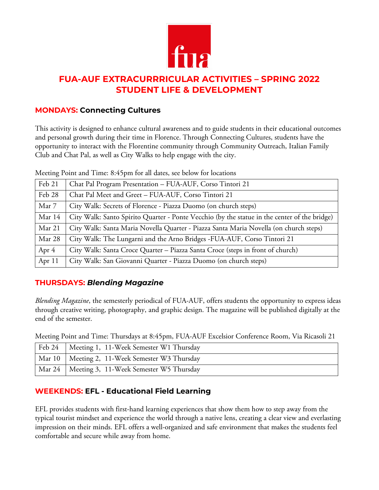

# **FUA-AUF EXTRACURRRICULAR ACTIVITIES – SPRING 2022 STUDENT LIFE & DEVELOPMENT**

### **MONDAYS: Connecting Cultures**

This activity is designed to enhance cultural awareness and to guide students in their educational outcomes and personal growth during their time in Florence. Through Connecting Cultures, students have the opportunity to interact with the Florentine community through Community Outreach, Italian Family Club and Chat Pal, as well as City Walks to help engage with the city.

Meeting Point and Time: 8:45pm for all dates, see below for locations

| Feb 21  | Chat Pal Program Presentation - FUA-AUF, Corso Tintori 21                                    |
|---------|----------------------------------------------------------------------------------------------|
| Feb 28  | Chat Pal Meet and Greet - FUA-AUF, Corso Tintori 21                                          |
| Mar 7   | City Walk: Secrets of Florence - Piazza Duomo (on church steps)                              |
| Mar 14  | City Walk: Santo Spirito Quarter - Ponte Vecchio (by the statue in the center of the bridge) |
| Mar 21  | City Walk: Santa Maria Novella Quarter - Piazza Santa Maria Novella (on church steps)        |
| Mar 28  | City Walk: The Lungarni and the Arno Bridges -FUA-AUF, Corso Tintori 21                      |
| Apr $4$ | City Walk: Santa Croce Quarter - Piazza Santa Croce (steps in front of church)               |
| Apr 11  | City Walk: San Giovanni Quarter - Piazza Duomo (on church steps)                             |

# **THURSDAYS:** *Blending Magazine*

*Blending Magazine*, the semesterly periodical of FUA-AUF, offers students the opportunity to express ideas through creative writing, photography, and graphic design. The magazine will be published digitally at the end of the semester.

Meeting Point and Time: Thursdays at 8:45pm, FUA-AUF Excelsior Conference Room, Via Ricasoli 21

| Feb 24   Meeting 1, 11-Week Semester W1 Thursday |
|--------------------------------------------------|
| Mar 10   Meeting 2, 11-Week Semester W3 Thursday |
| Mar 24   Meeting 3, 11-Week Semester W5 Thursday |

# **WEEKENDS: EFL - Educational Field Learning**

EFL provides students with first-hand learning experiences that show them how to step away from the typical tourist mindset and experience the world through a native lens, creating a clear view and everlasting impression on their minds. EFL offers a well-organized and safe environment that makes the students feel comfortable and secure while away from home.